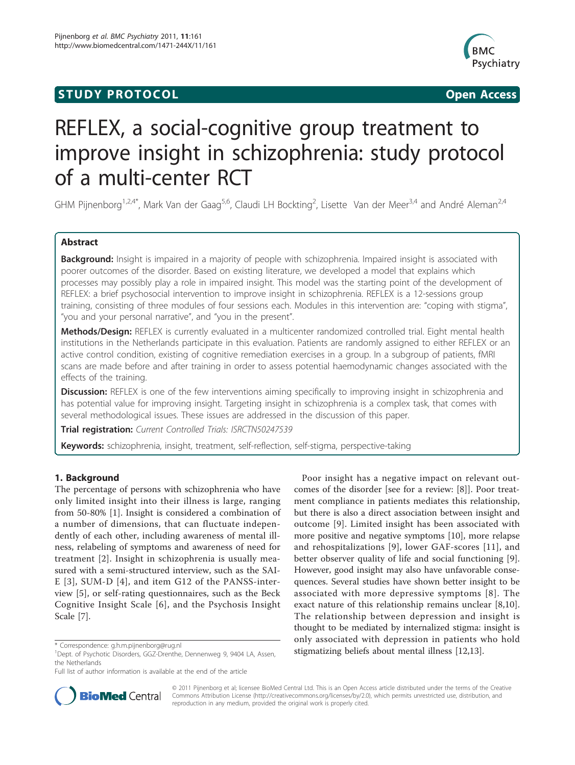## **STUDY PROTOCOL CONSUMING ACCESS**



# REFLEX, a social-cognitive group treatment to improve insight in schizophrenia: study protocol of a multi-center RCT

GHM Pijnenborg<sup>1,2,4\*</sup>, Mark Van der Gaag<sup>5,6</sup>, Claudi LH Bockting<sup>2</sup>, Lisette Van der Meer<sup>3,4</sup> and André Aleman<sup>2,4</sup>

## Abstract

Background: Insight is impaired in a majority of people with schizophrenia. Impaired insight is associated with poorer outcomes of the disorder. Based on existing literature, we developed a model that explains which processes may possibly play a role in impaired insight. This model was the starting point of the development of REFLEX: a brief psychosocial intervention to improve insight in schizophrenia. REFLEX is a 12-sessions group training, consisting of three modules of four sessions each. Modules in this intervention are: "coping with stigma", "you and your personal narrative", and "you in the present".

Methods/Design: REFLEX is currently evaluated in a multicenter randomized controlled trial. Eight mental health institutions in the Netherlands participate in this evaluation. Patients are randomly assigned to either REFLEX or an active control condition, existing of cognitive remediation exercises in a group. In a subgroup of patients, fMRI scans are made before and after training in order to assess potential haemodynamic changes associated with the effects of the training.

Discussion: REFLEX is one of the few interventions aiming specifically to improving insight in schizophrenia and has potential value for improving insight. Targeting insight in schizophrenia is a complex task, that comes with several methodological issues. These issues are addressed in the discussion of this paper.

Trial registration: Current Controlled Trials: [ISRCTN50247539](http://www.controlled-trials.com/ISRCTN50247539)

Keywords: schizophrenia, insight, treatment, self-reflection, self-stigma, perspective-taking

## 1. Background

The percentage of persons with schizophrenia who have only limited insight into their illness is large, ranging from 50-80% [[1\]](#page-7-0). Insight is considered a combination of a number of dimensions, that can fluctuate independently of each other, including awareness of mental illness, relabeling of symptoms and awareness of need for treatment [[2](#page-7-0)]. Insight in schizophrenia is usually measured with a semi-structured interview, such as the SAI-E [\[3\]](#page-7-0), SUM-D [[4](#page-7-0)], and item G12 of the PANSS-interview [[5\]](#page-7-0), or self-rating questionnaires, such as the Beck Cognitive Insight Scale [[6\]](#page-7-0), and the Psychosis Insight Scale [[7\]](#page-7-0).

Poor insight has a negative impact on relevant outcomes of the disorder [see for a review: [\[8](#page-7-0)]]. Poor treatment compliance in patients mediates this relationship, but there is also a direct association between insight and outcome [[9\]](#page-7-0). Limited insight has been associated with more positive and negative symptoms [\[10\]](#page-7-0), more relapse and rehospitalizations [[9\]](#page-7-0), lower GAF-scores [[11](#page-7-0)], and better observer quality of life and social functioning [\[9](#page-7-0)]. However, good insight may also have unfavorable consequences. Several studies have shown better insight to be associated with more depressive symptoms [[8\]](#page-7-0). The exact nature of this relationship remains unclear [[8,10](#page-7-0)]. The relationship between depression and insight is thought to be mediated by internalized stigma: insight is only associated with depression in patients who hold \* Correspondence: [g.h.m.pijnenborg@rug.nl](mailto:g.h.m.pijnenborg@rug.nl)<br><sup>1</sup>Dent of Psychotic Disorders GG7-Drenthe Dennenweg 9 9404 LA Assen**ted Stigmatizing beliefs about mental illness** [[12](#page-7-0),[13](#page-7-0)].



© 2011 Pijnenborg et al; licensee BioMed Central Ltd. This is an Open Access article distributed under the terms of the Creative Commons Attribution License [\(http://creativecommons.org/licenses/by/2.0](http://creativecommons.org/licenses/by/2.0)), which permits unrestricted use, distribution, and reproduction in any medium, provided the original work is properly cited.

<sup>&</sup>lt;sup>1</sup>Dept. of Psychotic Disorders, GGZ-Drenthe, Dennenweg 9, 9404 LA, Assen, the Netherlands

Full list of author information is available at the end of the article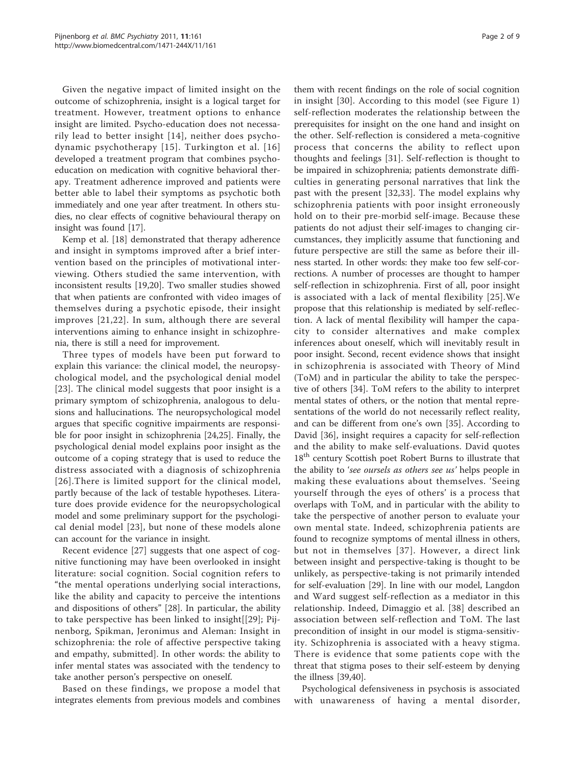Given the negative impact of limited insight on the outcome of schizophrenia, insight is a logical target for treatment. However, treatment options to enhance insight are limited. Psycho-education does not necessarily lead to better insight [[14\]](#page-7-0), neither does psychodynamic psychotherapy [[15](#page-7-0)]. Turkington et al. [[16](#page-7-0)] developed a treatment program that combines psychoeducation on medication with cognitive behavioral therapy. Treatment adherence improved and patients were better able to label their symptoms as psychotic both immediately and one year after treatment. In others studies, no clear effects of cognitive behavioural therapy on insight was found [[17](#page-7-0)].

Kemp et al. [\[18\]](#page-7-0) demonstrated that therapy adherence and insight in symptoms improved after a brief intervention based on the principles of motivational interviewing. Others studied the same intervention, with inconsistent results [[19,20\]](#page-7-0). Two smaller studies showed that when patients are confronted with video images of themselves during a psychotic episode, their insight improves [[21,22\]](#page-7-0). In sum, although there are several interventions aiming to enhance insight in schizophrenia, there is still a need for improvement.

Three types of models have been put forward to explain this variance: the clinical model, the neuropsychological model, and the psychological denial model [[23](#page-7-0)]. The clinical model suggests that poor insight is a primary symptom of schizophrenia, analogous to delusions and hallucinations. The neuropsychological model argues that specific cognitive impairments are responsible for poor insight in schizophrenia [[24,25\]](#page-7-0). Finally, the psychological denial model explains poor insight as the outcome of a coping strategy that is used to reduce the distress associated with a diagnosis of schizophrenia [[26\]](#page-7-0).There is limited support for the clinical model, partly because of the lack of testable hypotheses. Literature does provide evidence for the neuropsychological model and some preliminary support for the psychological denial model [[23\]](#page-7-0), but none of these models alone can account for the variance in insight.

Recent evidence [[27](#page-7-0)] suggests that one aspect of cognitive functioning may have been overlooked in insight literature: social cognition. Social cognition refers to "the mental operations underlying social interactions, like the ability and capacity to perceive the intentions and dispositions of others" [[28\]](#page-7-0). In particular, the ability to take perspective has been linked to insight[[[29\]](#page-7-0); Pijnenborg, Spikman, Jeronimus and Aleman: Insight in schizophrenia: the role of affective perspective taking and empathy, submitted]. In other words: the ability to infer mental states was associated with the tendency to take another person's perspective on oneself.

Based on these findings, we propose a model that integrates elements from previous models and combines them with recent findings on the role of social cognition

Page 2 of 9

in insight [[30](#page-7-0)]. According to this model (see Figure [1](#page-2-0)) self-reflection moderates the relationship between the prerequisites for insight on the one hand and insight on the other. Self-reflection is considered a meta-cognitive process that concerns the ability to reflect upon thoughts and feelings [\[31](#page-7-0)]. Self-reflection is thought to be impaired in schizophrenia; patients demonstrate difficulties in generating personal narratives that link the past with the present [\[32](#page-7-0),[33\]](#page-7-0). The model explains why schizophrenia patients with poor insight erroneously hold on to their pre-morbid self-image. Because these patients do not adjust their self-images to changing circumstances, they implicitly assume that functioning and future perspective are still the same as before their illness started. In other words: they make too few self-corrections. A number of processes are thought to hamper self-reflection in schizophrenia. First of all, poor insight is associated with a lack of mental flexibility [[25](#page-7-0)].We propose that this relationship is mediated by self-reflection. A lack of mental flexibility will hamper the capacity to consider alternatives and make complex inferences about oneself, which will inevitably result in poor insight. Second, recent evidence shows that insight in schizophrenia is associated with Theory of Mind (ToM) and in particular the ability to take the perspective of others [\[34\]](#page-7-0). ToM refers to the ability to interpret mental states of others, or the notion that mental representations of the world do not necessarily reflect reality, and can be different from one's own [[35\]](#page-7-0). According to David [\[36](#page-7-0)], insight requires a capacity for self-reflection and the ability to make self-evaluations. David quotes 18<sup>th</sup> century Scottish poet Robert Burns to illustrate that the ability to 'see oursels as others see us' helps people in making these evaluations about themselves. 'Seeing yourself through the eyes of others' is a process that overlaps with ToM, and in particular with the ability to take the perspective of another person to evaluate your own mental state. Indeed, schizophrenia patients are found to recognize symptoms of mental illness in others, but not in themselves [[37\]](#page-7-0). However, a direct link between insight and perspective-taking is thought to be unlikely, as perspective-taking is not primarily intended for self-evaluation [[29\]](#page-7-0). In line with our model, Langdon and Ward suggest self-reflection as a mediator in this relationship. Indeed, Dimaggio et al. [[38\]](#page-7-0) described an association between self-reflection and ToM. The last precondition of insight in our model is stigma-sensitivity. Schizophrenia is associated with a heavy stigma. There is evidence that some patients cope with the threat that stigma poses to their self-esteem by denying the illness [\[39,40\]](#page-7-0).

Psychological defensiveness in psychosis is associated with unawareness of having a mental disorder,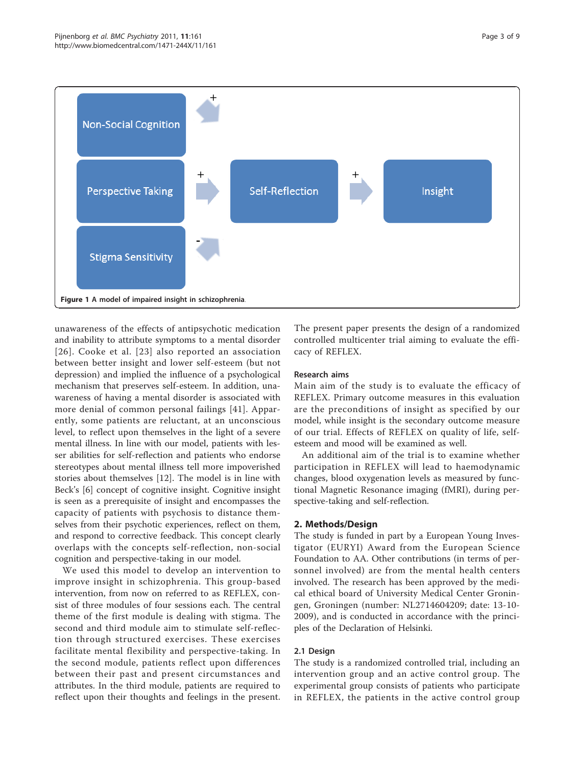<span id="page-2-0"></span>

unawareness of the effects of antipsychotic medication and inability to attribute symptoms to a mental disorder [[26](#page-7-0)]. Cooke et al. [[23\]](#page-7-0) also reported an association between better insight and lower self-esteem (but not depression) and implied the influence of a psychological mechanism that preserves self-esteem. In addition, unawareness of having a mental disorder is associated with more denial of common personal failings [[41](#page-7-0)]. Apparently, some patients are reluctant, at an unconscious level, to reflect upon themselves in the light of a severe mental illness. In line with our model, patients with lesser abilities for self-reflection and patients who endorse stereotypes about mental illness tell more impoverished stories about themselves [\[12](#page-7-0)]. The model is in line with Beck's [[6](#page-7-0)] concept of cognitive insight. Cognitive insight is seen as a prerequisite of insight and encompasses the capacity of patients with psychosis to distance themselves from their psychotic experiences, reflect on them, and respond to corrective feedback. This concept clearly overlaps with the concepts self-reflection, non-social cognition and perspective-taking in our model.

We used this model to develop an intervention to improve insight in schizophrenia. This group-based intervention, from now on referred to as REFLEX, consist of three modules of four sessions each. The central theme of the first module is dealing with stigma. The second and third module aim to stimulate self-reflection through structured exercises. These exercises facilitate mental flexibility and perspective-taking. In the second module, patients reflect upon differences between their past and present circumstances and attributes. In the third module, patients are required to reflect upon their thoughts and feelings in the present. The present paper presents the design of a randomized controlled multicenter trial aiming to evaluate the efficacy of REFLEX.

#### Research aims

Main aim of the study is to evaluate the efficacy of REFLEX. Primary outcome measures in this evaluation are the preconditions of insight as specified by our model, while insight is the secondary outcome measure of our trial. Effects of REFLEX on quality of life, selfesteem and mood will be examined as well.

An additional aim of the trial is to examine whether participation in REFLEX will lead to haemodynamic changes, blood oxygenation levels as measured by functional Magnetic Resonance imaging (fMRI), during perspective-taking and self-reflection.

#### 2. Methods/Design

The study is funded in part by a European Young Investigator (EURYI) Award from the European Science Foundation to AA. Other contributions (in terms of personnel involved) are from the mental health centers involved. The research has been approved by the medical ethical board of University Medical Center Groningen, Groningen (number: NL2714604209; date: 13-10- 2009), and is conducted in accordance with the principles of the Declaration of Helsinki.

#### 2.1 Design

The study is a randomized controlled trial, including an intervention group and an active control group. The experimental group consists of patients who participate in REFLEX, the patients in the active control group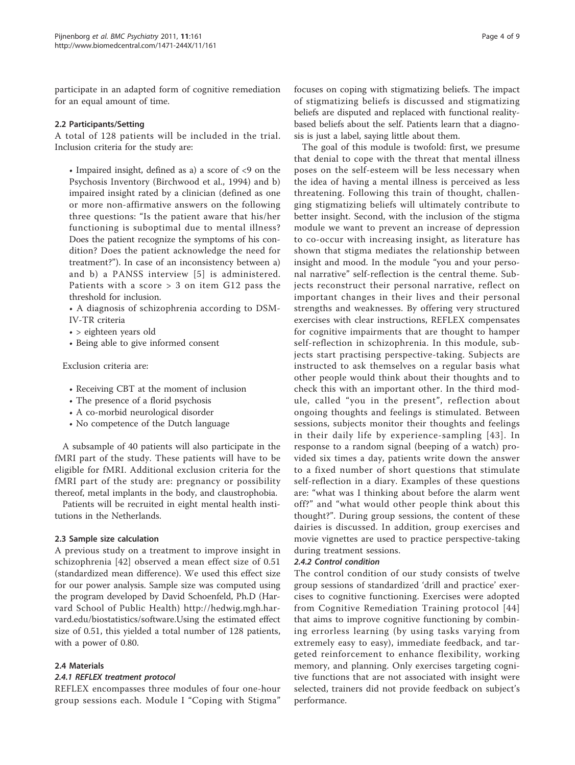participate in an adapted form of cognitive remediation for an equal amount of time.

#### 2.2 Participants/Setting

A total of 128 patients will be included in the trial. Inclusion criteria for the study are:

• Impaired insight, defined as a) a score of <9 on the Psychosis Inventory (Birchwood et al., 1994) and b) impaired insight rated by a clinician (defined as one or more non-affirmative answers on the following three questions: "Is the patient aware that his/her functioning is suboptimal due to mental illness? Does the patient recognize the symptoms of his condition? Does the patient acknowledge the need for treatment?"). In case of an inconsistency between a) and b) a PANSS interview [[5](#page-7-0)] is administered. Patients with a score > 3 on item G12 pass the threshold for inclusion.

• A diagnosis of schizophrenia according to DSM-IV-TR criteria

- > eighteen years old
- Being able to give informed consent

Exclusion criteria are:

- Receiving CBT at the moment of inclusion
- The presence of a florid psychosis
- A co-morbid neurological disorder
- No competence of the Dutch language

A subsample of 40 patients will also participate in the fMRI part of the study. These patients will have to be eligible for fMRI. Additional exclusion criteria for the fMRI part of the study are: pregnancy or possibility thereof, metal implants in the body, and claustrophobia.

Patients will be recruited in eight mental health institutions in the Netherlands.

#### 2.3 Sample size calculation

A previous study on a treatment to improve insight in schizophrenia [\[42\]](#page-7-0) observed a mean effect size of 0.51 (standardized mean difference). We used this effect size for our power analysis. Sample size was computed using the program developed by David Schoenfeld, Ph.D (Harvard School of Public Health) [http://hedwig.mgh.har](http://hedwig.mgh.harvard.edu/biostatistics/software)[vard.edu/biostatistics/software.](http://hedwig.mgh.harvard.edu/biostatistics/software)Using the estimated effect size of 0.51, this yielded a total number of 128 patients, with a power of 0.80.

#### 2.4 Materials

#### 2.4.1 REFLEX treatment protocol

REFLEX encompasses three modules of four one-hour group sessions each. Module I "Coping with Stigma"

focuses on coping with stigmatizing beliefs. The impact of stigmatizing beliefs is discussed and stigmatizing beliefs are disputed and replaced with functional realitybased beliefs about the self. Patients learn that a diagnosis is just a label, saying little about them.

The goal of this module is twofold: first, we presume that denial to cope with the threat that mental illness poses on the self-esteem will be less necessary when the idea of having a mental illness is perceived as less threatening. Following this train of thought, challenging stigmatizing beliefs will ultimately contribute to better insight. Second, with the inclusion of the stigma module we want to prevent an increase of depression to co-occur with increasing insight, as literature has shown that stigma mediates the relationship between insight and mood. In the module "you and your personal narrative" self-reflection is the central theme. Subjects reconstruct their personal narrative, reflect on important changes in their lives and their personal strengths and weaknesses. By offering very structured exercises with clear instructions, REFLEX compensates for cognitive impairments that are thought to hamper self-reflection in schizophrenia. In this module, subjects start practising perspective-taking. Subjects are instructed to ask themselves on a regular basis what other people would think about their thoughts and to check this with an important other. In the third module, called "you in the present", reflection about ongoing thoughts and feelings is stimulated. Between sessions, subjects monitor their thoughts and feelings in their daily life by experience-sampling [[43\]](#page-7-0). In response to a random signal (beeping of a watch) provided six times a day, patients write down the answer to a fixed number of short questions that stimulate self-reflection in a diary. Examples of these questions are: "what was I thinking about before the alarm went off?" and "what would other people think about this thought?". During group sessions, the content of these dairies is discussed. In addition, group exercises and movie vignettes are used to practice perspective-taking during treatment sessions.

#### 2.4.2 Control condition

The control condition of our study consists of twelve group sessions of standardized 'drill and practice' exercises to cognitive functioning. Exercises were adopted from Cognitive Remediation Training protocol [[44](#page-7-0)] that aims to improve cognitive functioning by combining errorless learning (by using tasks varying from extremely easy to easy), immediate feedback, and targeted reinforcement to enhance flexibility, working memory, and planning. Only exercises targeting cognitive functions that are not associated with insight were selected, trainers did not provide feedback on subject's performance.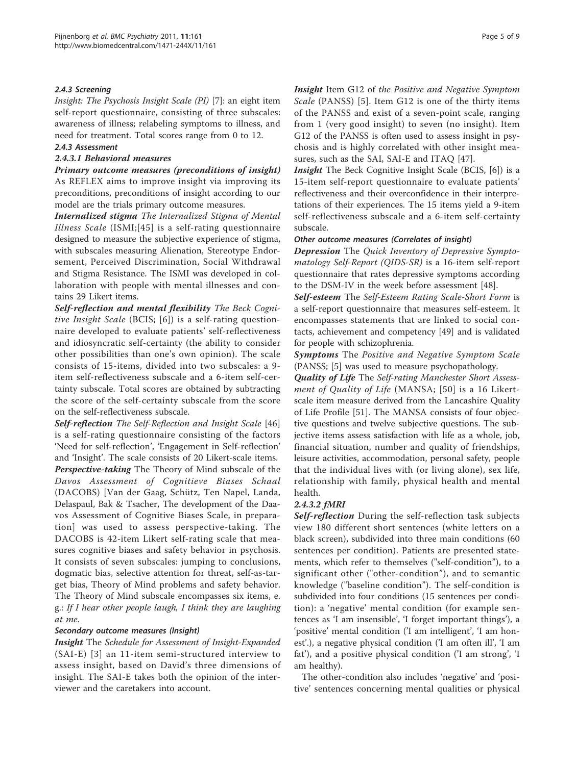## 2.4.3 Screening

Insight: The Psychosis Insight Scale (PI) [[7\]](#page-7-0): an eight item self-report questionnaire, consisting of three subscales: awareness of illness; relabeling symptoms to illness, and need for treatment. Total scores range from 0 to 12.

#### 2.4.3 Assessment

## 2.4.3.1 Behavioral measures

Primary outcome measures (preconditions of insight) As REFLEX aims to improve insight via improving its preconditions, preconditions of insight according to our model are the trials primary outcome measures.

Internalized stigma The Internalized Stigma of Mental Illness Scale (ISMI;[[45](#page-7-0)] is a self-rating questionnaire designed to measure the subjective experience of stigma, with subscales measuring Alienation, Stereotype Endorsement, Perceived Discrimination, Social Withdrawal and Stigma Resistance. The ISMI was developed in collaboration with people with mental illnesses and contains 29 Likert items.

Self-reflection and mental flexibility The Beck Cognitive Insight Scale (BCIS; [\[6\]](#page-7-0)) is a self-rating questionnaire developed to evaluate patients' self-reflectiveness and idiosyncratic self-certainty (the ability to consider other possibilities than one's own opinion). The scale consists of 15-items, divided into two subscales: a 9 item self-reflectiveness subscale and a 6-item self-certainty subscale. Total scores are obtained by subtracting the score of the self-certainty subscale from the score on the self-reflectiveness subscale.

Self-reflection The Self-Reflection and Insight Scale [[46](#page-7-0)] is a self-rating questionnaire consisting of the factors 'Need for self-reflection', 'Engagement in Self-reflection' and 'Insight'. The scale consists of 20 Likert-scale items. Perspective-taking The Theory of Mind subscale of the Davos Assessment of Cognitieve Biases Schaal (DACOBS) [Van der Gaag, Schütz, Ten Napel, Landa, Delaspaul, Bak & Tsacher, The development of the Daavos Assessment of Cognitive Biases Scale, in preparation] was used to assess perspective-taking. The DACOBS is 42-item Likert self-rating scale that measures cognitive biases and safety behavior in psychosis. It consists of seven subscales: jumping to conclusions, dogmatic bias, selective attention for threat, self-as-target bias, Theory of Mind problems and safety behavior. The Theory of Mind subscale encompasses six items, e. g.: If I hear other people laugh, I think they are laughing at me.

#### Secondary outcome measures (Insight)

Insight The Schedule for Assessment of Insight-Expanded (SAI-E) [[3\]](#page-7-0) an 11-item semi-structured interview to assess insight, based on David's three dimensions of insight. The SAI-E takes both the opinion of the interviewer and the caretakers into account.

Insight Item G12 of the Positive and Negative Symptom Scale (PANSS) [[5\]](#page-7-0). Item G12 is one of the thirty items of the PANSS and exist of a seven-point scale, ranging from 1 (very good insight) to seven (no insight). Item G12 of the PANSS is often used to assess insight in psychosis and is highly correlated with other insight measures, such as the SAI, SAI-E and ITAQ [\[47](#page-8-0)].

Insight The Beck Cognitive Insight Scale (BCIS, [[6\]](#page-7-0)) is a 15-item self-report questionnaire to evaluate patients' reflectiveness and their overconfidence in their interpretations of their experiences. The 15 items yield a 9-item self-reflectiveness subscale and a 6-item self-certainty subscale.

#### Other outcome measures (Correlates of insight)

Depression The Quick Inventory of Depressive Symptomatology Self-Report (QIDS-SR) is a 16-item self-report questionnaire that rates depressive symptoms according to the DSM-IV in the week before assessment [\[48\]](#page-8-0).

Self-esteem The Self-Esteem Rating Scale-Short Form is a self-report questionnaire that measures self-esteem. It encompasses statements that are linked to social contacts, achievement and competency [[49\]](#page-8-0) and is validated for people with schizophrenia.

Symptoms The Positive and Negative Symptom Scale (PANSS; [\[5](#page-7-0)] was used to measure psychopathology.

Quality of Life The Self-rating Manchester Short Assessment of Quality of Life (MANSA; [[50](#page-8-0)] is a 16 Likertscale item measure derived from the Lancashire Quality of Life Profile [[51](#page-8-0)]. The MANSA consists of four objective questions and twelve subjective questions. The subjective items assess satisfaction with life as a whole, job, financial situation, number and quality of friendships, leisure activities, accommodation, personal safety, people that the individual lives with (or living alone), sex life, relationship with family, physical health and mental health.

## 2.4.3.2 fMRI

Self-reflection During the self-reflection task subjects view 180 different short sentences (white letters on a black screen), subdivided into three main conditions (60 sentences per condition). Patients are presented statements, which refer to themselves ("self-condition"), to a significant other ("other-condition"), and to semantic knowledge ("baseline condition"). The self-condition is subdivided into four conditions (15 sentences per condition): a 'negative' mental condition (for example sentences as 'I am insensible', 'I forget important things'), a 'positive' mental condition ('I am intelligent', 'I am honest'.), a negative physical condition ('I am often ill', 'I am fat'), and a positive physical condition ('I am strong', 'I am healthy).

The other-condition also includes 'negative' and 'positive' sentences concerning mental qualities or physical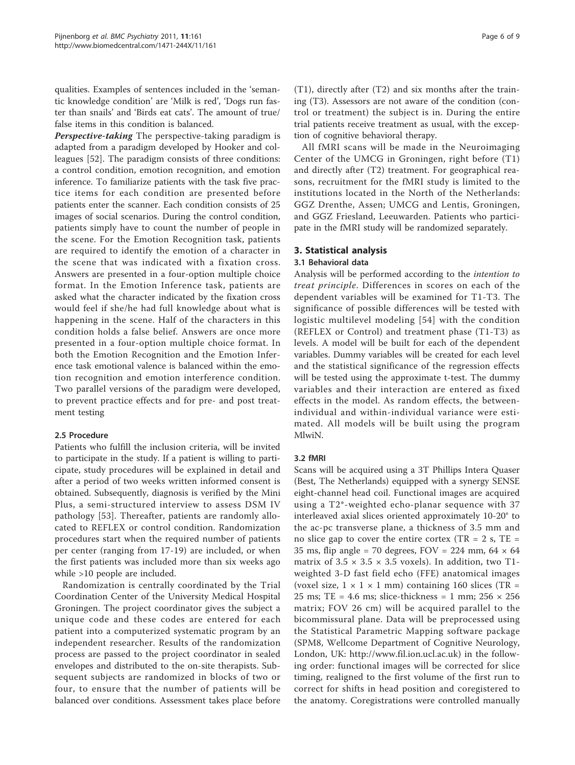qualities. Examples of sentences included in the 'semantic knowledge condition' are 'Milk is red', 'Dogs run faster than snails' and 'Birds eat cats'. The amount of true/ false items in this condition is balanced.

Perspective-taking The perspective-taking paradigm is adapted from a paradigm developed by Hooker and colleagues [\[52](#page-8-0)]. The paradigm consists of three conditions: a control condition, emotion recognition, and emotion inference. To familiarize patients with the task five practice items for each condition are presented before patients enter the scanner. Each condition consists of 25 images of social scenarios. During the control condition, patients simply have to count the number of people in the scene. For the Emotion Recognition task, patients are required to identify the emotion of a character in the scene that was indicated with a fixation cross. Answers are presented in a four-option multiple choice format. In the Emotion Inference task, patients are asked what the character indicated by the fixation cross would feel if she/he had full knowledge about what is happening in the scene. Half of the characters in this condition holds a false belief. Answers are once more presented in a four-option multiple choice format. In both the Emotion Recognition and the Emotion Inference task emotional valence is balanced within the emotion recognition and emotion interference condition. Two parallel versions of the paradigm were developed, to prevent practice effects and for pre- and post treatment testing

## 2.5 Procedure

Patients who fulfill the inclusion criteria, will be invited to participate in the study. If a patient is willing to participate, study procedures will be explained in detail and after a period of two weeks written informed consent is obtained. Subsequently, diagnosis is verified by the Mini Plus, a semi-structured interview to assess DSM IV pathology [[53](#page-8-0)]. Thereafter, patients are randomly allocated to REFLEX or control condition. Randomization procedures start when the required number of patients per center (ranging from 17-19) are included, or when the first patients was included more than six weeks ago while >10 people are included.

Randomization is centrally coordinated by the Trial Coordination Center of the University Medical Hospital Groningen. The project coordinator gives the subject a unique code and these codes are entered for each patient into a computerized systematic program by an independent researcher. Results of the randomization process are passed to the project coordinator in sealed envelopes and distributed to the on-site therapists. Subsequent subjects are randomized in blocks of two or four, to ensure that the number of patients will be balanced over conditions. Assessment takes place before

(T1), directly after (T2) and six months after the training (T3). Assessors are not aware of the condition (control or treatment) the subject is in. During the entire trial patients receive treatment as usual, with the exception of cognitive behavioral therapy.

All fMRI scans will be made in the Neuroimaging Center of the UMCG in Groningen, right before (T1) and directly after (T2) treatment. For geographical reasons, recruitment for the fMRI study is limited to the institutions located in the North of the Netherlands: GGZ Drenthe, Assen; UMCG and Lentis, Groningen, and GGZ Friesland, Leeuwarden. Patients who participate in the fMRI study will be randomized separately.

#### 3. Statistical analysis

#### 3.1 Behavioral data

Analysis will be performed according to the intention to treat principle. Differences in scores on each of the dependent variables will be examined for T1-T3. The significance of possible differences will be tested with logistic multilevel modeling [[54\]](#page-8-0) with the condition (REFLEX or Control) and treatment phase (T1-T3) as levels. A model will be built for each of the dependent variables. Dummy variables will be created for each level and the statistical significance of the regression effects will be tested using the approximate t-test. The dummy variables and their interaction are entered as fixed effects in the model. As random effects, the betweenindividual and within-individual variance were estimated. All models will be built using the program MlwiN.

#### 3.2 fMRI

Scans will be acquired using a 3T Phillips Intera Quaser (Best, The Netherlands) equipped with a synergy SENSE eight-channel head coil. Functional images are acquired using a T2\*-weighted echo-planar sequence with 37 interleaved axial slices oriented approximately 10-20° to the ac-pc transverse plane, a thickness of 3.5 mm and no slice gap to cover the entire cortex ( $TR = 2$  s,  $TE =$ 35 ms, flip angle = 70 degrees,  $FOV = 224$  mm,  $64 \times 64$ matrix of  $3.5 \times 3.5 \times 3.5$  voxels). In addition, two T1weighted 3-D fast field echo (FFE) anatomical images (voxel size,  $1 \times 1 \times 1$  mm) containing 160 slices (TR = 25 ms; TE = 4.6 ms; slice-thickness = 1 mm;  $256 \times 256$ matrix; FOV 26 cm) will be acquired parallel to the bicommissural plane. Data will be preprocessed using the Statistical Parametric Mapping software package (SPM8, Wellcome Department of Cognitive Neurology, London, UK: [http://www.fil.ion.ucl.ac.uk\)](http://www.fil.ion.ucl.ac.uk) in the following order: functional images will be corrected for slice timing, realigned to the first volume of the first run to correct for shifts in head position and coregistered to the anatomy. Coregistrations were controlled manually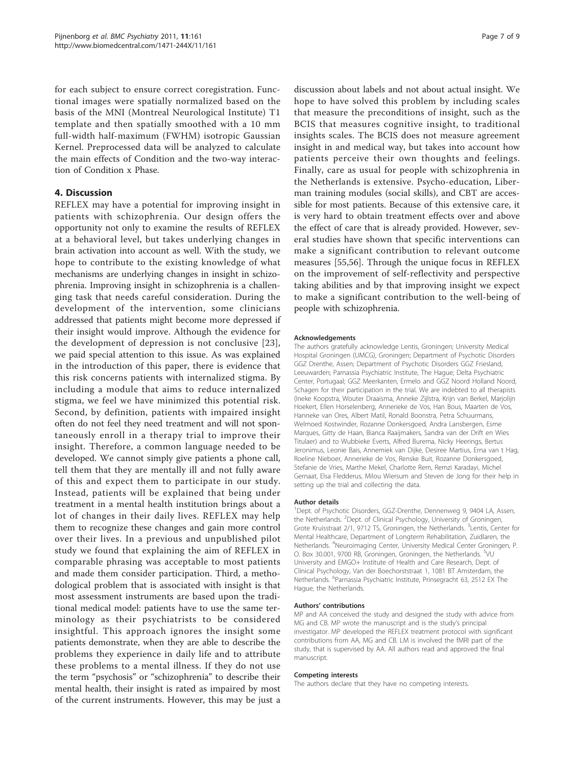for each subject to ensure correct coregistration. Functional images were spatially normalized based on the basis of the MNI (Montreal Neurological Institute) T1 template and then spatially smoothed with a 10 mm full-width half-maximum (FWHM) isotropic Gaussian Kernel. Preprocessed data will be analyzed to calculate the main effects of Condition and the two-way interaction of Condition x Phase.

## 4. Discussion

REFLEX may have a potential for improving insight in patients with schizophrenia. Our design offers the opportunity not only to examine the results of REFLEX at a behavioral level, but takes underlying changes in brain activation into account as well. With the study, we hope to contribute to the existing knowledge of what mechanisms are underlying changes in insight in schizophrenia. Improving insight in schizophrenia is a challenging task that needs careful consideration. During the development of the intervention, some clinicians addressed that patients might become more depressed if their insight would improve. Although the evidence for the development of depression is not conclusive [[23\]](#page-7-0), we paid special attention to this issue. As was explained in the introduction of this paper, there is evidence that this risk concerns patients with internalized stigma. By including a module that aims to reduce internalized stigma, we feel we have minimized this potential risk. Second, by definition, patients with impaired insight often do not feel they need treatment and will not spontaneously enroll in a therapy trial to improve their insight. Therefore, a common language needed to be developed. We cannot simply give patients a phone call, tell them that they are mentally ill and not fully aware of this and expect them to participate in our study. Instead, patients will be explained that being under treatment in a mental health institution brings about a lot of changes in their daily lives. REFLEX may help them to recognize these changes and gain more control over their lives. In a previous and unpublished pilot study we found that explaining the aim of REFLEX in comparable phrasing was acceptable to most patients and made them consider participation. Third, a methodological problem that is associated with insight is that most assessment instruments are based upon the traditional medical model: patients have to use the same terminology as their psychiatrists to be considered insightful. This approach ignores the insight some patients demonstrate, when they are able to describe the problems they experience in daily life and to attribute these problems to a mental illness. If they do not use the term "psychosis" or "schizophrenia" to describe their mental health, their insight is rated as impaired by most of the current instruments. However, this may be just a

discussion about labels and not about actual insight. We hope to have solved this problem by including scales that measure the preconditions of insight, such as the BCIS that measures cognitive insight, to traditional insights scales. The BCIS does not measure agreement insight in and medical way, but takes into account how patients perceive their own thoughts and feelings. Finally, care as usual for people with schizophrenia in the Netherlands is extensive. Psycho-education, Liberman training modules (social skills), and CBT are accessible for most patients. Because of this extensive care, it is very hard to obtain treatment effects over and above the effect of care that is already provided. However, several studies have shown that specific interventions can make a significant contribution to relevant outcome measures [\[55,56](#page-8-0)]. Through the unique focus in REFLEX on the improvement of self-reflectivity and perspective taking abilities and by that improving insight we expect to make a significant contribution to the well-being of people with schizophrenia.

#### Acknowledgements

The authors gratefully acknowledge Lentis, Groningen; University Medical Hospital Groningen (UMCG), Groningen; Department of Psychotic Disorders GGZ Drenthe, Assen; Department of Psychotic Disorders GGZ Friesland, Leeuwarden; Parnassia Psychiatric Institute, The Hague; Delta Psychiatric Center, Portugaal; GGZ Meerkanten, Ermelo and GGZ Noord Holland Noord, Schagen for their participation in the trial. We are indebted to all therapists (Ineke Koopstra, Wouter Draaisma, Anneke Zijlstra, Krijn van Berkel, Marjolijn Hoekert, Ellen Horselenberg, Annerieke de Vos, Han Bous, Maarten de Vos, Hanneke van Ores, Albert Matil, Ronald Boonstra, Petra Schuurmans, Welmoed Kostwinder, Rozanne Donkersgoed, Andra Lansbergen, Esme Marques, Gitty de Haan, Bianca Raaijmakers, Sandra van der Drift en Wies Titulaer) and to Wubbieke Everts, Alfred Burema, Nicky Heerings, Bertus Jeronimus, Leonie Bais, Annemiek van Dijke, Desiree Martius, Erna van t Hag, Roeline Nieboer, Annerieke de Vos, Renske Buit, Rozanne Donkersgoed, Stefanie de Vries, Marthe Mekel, Charlotte Rem, Remzi Karadayi, Michel Gernaat, Elsa Fledderus, Milou Wiersum and Steven de Jong for their help in setting up the trial and collecting the data.

#### Author details

<sup>1</sup>Dept. of Psychotic Disorders, GGZ-Drenthe, Dennenweg 9, 9404 LA, Assen, the Netherlands. <sup>2</sup>Dept. of Clinical Psychology, University of Groningen Grote Kruisstraat 2/1, 9712 TS, Groningen, the Netherlands. <sup>3</sup>Lentis, Center for Mental Healthcare, Department of Longterm Rehabilitation, Zuidlaren, the Netherlands. <sup>4</sup>Neuroimaging Center, University Medical Center Groningen, P. O. Box 30.001, 9700 RB, Groningen, Groningen, the Netherlands. <sup>5</sup>VU University and EMGO+ Institute of Health and Care Research, Dept. of Clinical Psychology, Van der Boechorststraat 1, 1081 BT Amsterdam, the Netherlands. <sup>6</sup>Parnassia Psychiatric Institute, Prinsegracht 63, 2512 EX The Hague, the Netherlands.

#### Authors' contributions

MP and AA conceived the study and designed the study with advice from MG and CB. MP wrote the manuscript and is the study's principal investigator. MP developed the REFLEX treatment protocol with significant contributions from AA, MG and CB. LM is involved the fMRI part of the study, that is supervised by AA. All authors read and approved the final manuscript.

#### Competing interests

The authors declare that they have no competing interests.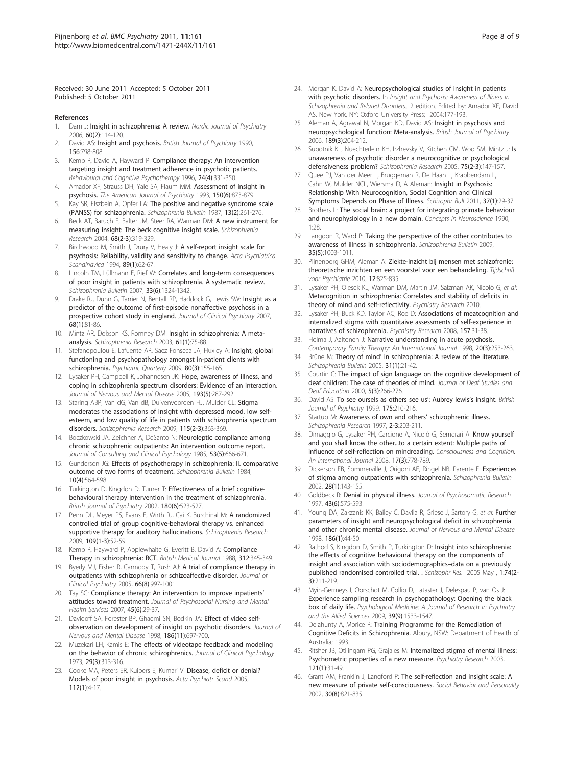<span id="page-7-0"></span>Received: 30 June 2011 Accepted: 5 October 2011 Published: 5 October 2011

#### References

- 1. Dam J: [Insight in schizophrenia: A review.](http://www.ncbi.nlm.nih.gov/pubmed/16635929?dopt=Abstract) Nordic Journal of Psychiatry 2006, 60(2):114-120.
- 2. David AS: [Insight and psychosis.](http://www.ncbi.nlm.nih.gov/pubmed/2207510?dopt=Abstract) British Journal of Psychiatry 1990, 156:798-808.
- Kemp R, David A, Hayward P: Compliance therapy: An intervention targeting insight and treatment adherence in psychotic patients. Behavioural and Cognitive Psychotherapy 1996, 24(4):331-350.
- 4. Amador XF, Strauss DH, Yale SA, Flaum MM: [Assessment of insight in](http://www.ncbi.nlm.nih.gov/pubmed/8494061?dopt=Abstract) [psychosis.](http://www.ncbi.nlm.nih.gov/pubmed/8494061?dopt=Abstract) The American Journal of Psychiatry 1993, 150(6):873-879.
- 5. Kay SR, Flszbein A, Opfer LA: [The positive and negative syndrome scale](http://www.ncbi.nlm.nih.gov/pubmed/3616518?dopt=Abstract) [\(PANSS\) for schizophrenia.](http://www.ncbi.nlm.nih.gov/pubmed/3616518?dopt=Abstract) Schizophrenia Bulletin 1987, 13(2):261-276.
- Beck AT, Baruch E, Balter JM, Steer RA, Warman DM: [A new instrument for](http://www.ncbi.nlm.nih.gov/pubmed/15099613?dopt=Abstract) [measuring insight: The beck cognitive insight scale.](http://www.ncbi.nlm.nih.gov/pubmed/15099613?dopt=Abstract) Schizophrenia Research 2004, 68(2-3):319-329.
- 7. Birchwood M, Smith J, Drury V, Healy J: [A self-report insight scale for](http://www.ncbi.nlm.nih.gov/pubmed/7908156?dopt=Abstract) [psychosis: Reliability, validity and sensitivity to change.](http://www.ncbi.nlm.nih.gov/pubmed/7908156?dopt=Abstract) Acta Psychiatrica Scandinavica 1994, 89(1):62-67.
- Lincoln TM, Lüllmann E, Rief W: [Correlates and long-term consequences](http://www.ncbi.nlm.nih.gov/pubmed/17289653?dopt=Abstract) [of poor insight in patients with schizophrenia. A systematic review.](http://www.ncbi.nlm.nih.gov/pubmed/17289653?dopt=Abstract) Schizophrenia Bulletin 2007, 33(6):1324-1342.
- 9. Drake RJ, Dunn G, Tarrier N, Bentall RP, Haddock G, Lewis SW: [Insight as a](http://www.ncbi.nlm.nih.gov/pubmed/17284134?dopt=Abstract) [predictor of the outcome of first-episode nonaffective psychosis in a](http://www.ncbi.nlm.nih.gov/pubmed/17284134?dopt=Abstract) [prospective cohort study in england.](http://www.ncbi.nlm.nih.gov/pubmed/17284134?dopt=Abstract) Journal of Clinical Psychiatry 2007, 68(1):81-86.
- 10. Mintz AR, Dobson KS, Romney DM: [Insight in schizophrenia: A meta](http://www.ncbi.nlm.nih.gov/pubmed/12648738?dopt=Abstract)[analysis.](http://www.ncbi.nlm.nih.gov/pubmed/12648738?dopt=Abstract) Schizophrenia Research 2003, 61(1):75-88.
- 11. Stefanopoulou E, Lafuente AR, Saez Fonseca JA, Huxley A: [Insight, global](http://www.ncbi.nlm.nih.gov/pubmed/19526340?dopt=Abstract) [functioning and psychopathology amongst in-patient clients with](http://www.ncbi.nlm.nih.gov/pubmed/19526340?dopt=Abstract) [schizophrenia.](http://www.ncbi.nlm.nih.gov/pubmed/19526340?dopt=Abstract) Psychiatric Quarterly 2009, 80(3):155-165.
- 12. Lysaker PH, Campbell K, Johannesen JK: [Hope, awareness of illness, and](http://www.ncbi.nlm.nih.gov/pubmed/15870611?dopt=Abstract) [coping in schizophrenia spectrum disorders: Evidence of an interaction.](http://www.ncbi.nlm.nih.gov/pubmed/15870611?dopt=Abstract) Journal of Nervous and Mental Disease 2005, 193(5):287-292.
- 13. Staring ABP, Van dG, Van dB, Duivenvoorden HJ, Mulder CL: [Stigma](http://www.ncbi.nlm.nih.gov/pubmed/19616414?dopt=Abstract) [moderates the associations of insight with depressed mood, low self](http://www.ncbi.nlm.nih.gov/pubmed/19616414?dopt=Abstract)[esteem, and low quality of life in patients with schizophrenia spectrum](http://www.ncbi.nlm.nih.gov/pubmed/19616414?dopt=Abstract) [disorders.](http://www.ncbi.nlm.nih.gov/pubmed/19616414?dopt=Abstract) Schizophrenia Research 2009, 115(2-3):363-369.
- 14. Boczkowski JA, Zeichner A, DeSanto N: [Neuroleptic compliance among](http://www.ncbi.nlm.nih.gov/pubmed/2865281?dopt=Abstract) [chronic schizophrenic outpatients: An intervention outcome report.](http://www.ncbi.nlm.nih.gov/pubmed/2865281?dopt=Abstract) Journal of Consulting and Clinical Psychology 1985, 53(5):666-671.
- 15. Gunderson JG: [Effects of psychotherapy in schizophrenia: II. comparative](http://www.ncbi.nlm.nih.gov/pubmed/6151246?dopt=Abstract) [outcome of two forms of treatment.](http://www.ncbi.nlm.nih.gov/pubmed/6151246?dopt=Abstract) Schizophrenia Bulletin 1984, 10(4):564-598.
- 16. Turkington D, Kingdon D, Turner T: [Effectiveness of a brief cognitive](http://www.ncbi.nlm.nih.gov/pubmed/12042231?dopt=Abstract)[behavioural therapy intervention in the treatment of schizophrenia.](http://www.ncbi.nlm.nih.gov/pubmed/12042231?dopt=Abstract) British Journal of Psychiatry 2002, 180(6):523-527.
- 17. Penn DL, Meyer PS, Evans E, Wirth RJ, Cai K, Burchinal M: [A randomized](http://www.ncbi.nlm.nih.gov/pubmed/19176275?dopt=Abstract) [controlled trial of group cognitive-behavioral therapy vs. enhanced](http://www.ncbi.nlm.nih.gov/pubmed/19176275?dopt=Abstract) [supportive therapy for auditory hallucinations.](http://www.ncbi.nlm.nih.gov/pubmed/19176275?dopt=Abstract) Schizophrenia Research 2009, 109(1-3):52-59.
- 18. Kemp R, Hayward P, Applewhaite G, Everitt B, David A: Compliance Therapy in schizophrenia: RCT. British Medical Journal 1988, 312:345-349.
- 19. Byerly MJ, Fisher R, Carmody T, Rush AJ: [A trial of compliance therapy in](http://www.ncbi.nlm.nih.gov/pubmed/16086614?dopt=Abstract) [outpatients with schizophrenia or schizoaffective disorder.](http://www.ncbi.nlm.nih.gov/pubmed/16086614?dopt=Abstract) Journal of Clinical Psychiatry 2005, 66(8):997-1001.
- 20. Tay SC: [Compliance therapy: An intervention to improve inpatients](http://www.ncbi.nlm.nih.gov/pubmed/17601158?dopt=Abstract)' [attitudes toward treatment.](http://www.ncbi.nlm.nih.gov/pubmed/17601158?dopt=Abstract) Journal of Psychosocial Nursing and Mental Health Services 2007, 45(6):29-37.
- 21. Davidoff SA, Forester BP, Ghaemi SN, Bodkin JA: [Effect of video self](http://www.ncbi.nlm.nih.gov/pubmed/9824172?dopt=Abstract)[observation on development of insight on psychotic disorders.](http://www.ncbi.nlm.nih.gov/pubmed/9824172?dopt=Abstract) Journal of Nervous and Mental Disease 1998, 186(11):697-700.
- 22. Muzekari LH, Kamis E: [The effects of videotape feedback and modeling](http://www.ncbi.nlm.nih.gov/pubmed/4726678?dopt=Abstract) [on the behavior of chronic schizophrenics.](http://www.ncbi.nlm.nih.gov/pubmed/4726678?dopt=Abstract) Journal of Clinical Psychology 1973, 29(3):313-316.
- 23. Cooke MA, Peters ER, Kuipers E, Kumari V: [Disease, deficit or denial?](http://www.ncbi.nlm.nih.gov/pubmed/15952940?dopt=Abstract) [Models of poor insight in psychosis.](http://www.ncbi.nlm.nih.gov/pubmed/15952940?dopt=Abstract) Acta Psychiatr Scand 2005, 112(1):4-17.
- 24. Morgan K, David A: Neuropsychological studies of insight in patients with psychotic disorders. In Insight and Psychosis: Awareness of Illness in Schizophrenia and Related Disorders.. 2 edition. Edited by: Amador XF, David AS. New York, NY: Oxford University Press; 2004:177-193.
- 25. Aleman A, Agrawal N, Morgan KD, David AS: [Insight in psychosis and](http://www.ncbi.nlm.nih.gov/pubmed/16946354?dopt=Abstract) [neuropsychological function: Meta-analysis.](http://www.ncbi.nlm.nih.gov/pubmed/16946354?dopt=Abstract) British Journal of Psychiatry 2006, 189(3):204-212.
- 26. Subotnik KL, Nuechterlein KH, Irzhevsky V, Kitchen CM, Woo SM, Mintz J: [Is](http://www.ncbi.nlm.nih.gov/pubmed/15885506?dopt=Abstract) [unawareness of psychotic disorder a neurocognitive or psychological](http://www.ncbi.nlm.nih.gov/pubmed/15885506?dopt=Abstract) [defensiveness problem?](http://www.ncbi.nlm.nih.gov/pubmed/15885506?dopt=Abstract) Schizophrenia Research 2005, 75(2-3):147-157.
- 27. Quee PJ, Van der Meer L, Bruggeman R, De Haan L, Krabbendam L, Cahn W, Mulder NCL, Wiersma D, A Aleman: [Insight in Psychosis:](http://www.ncbi.nlm.nih.gov/pubmed/21097989?dopt=Abstract) [Relationship With Neurocognition, Social Cognition and Clinical](http://www.ncbi.nlm.nih.gov/pubmed/21097989?dopt=Abstract) [Symptoms Depends on Phase of Illness.](http://www.ncbi.nlm.nih.gov/pubmed/21097989?dopt=Abstract) Schizophr Bull 2011, 37(1):29-37.
- 28. Brothers L: The social brain: a project for integrating primate behaviour and neurophysiology in a new domain. Concepts in Neuroscience 1990, 1:28.
- 29. Langdon R, Ward P: [Taking the perspective of the other contributes to](http://www.ncbi.nlm.nih.gov/pubmed/18495647?dopt=Abstract) [awareness of illness in schizophrenia.](http://www.ncbi.nlm.nih.gov/pubmed/18495647?dopt=Abstract) Schizophrenia Bulletin 2009, 35(5):1003-1011.
- 30. Pijnenborg GHM, Aleman A: Ziekte-inzicht bij mensen met schizofrenie: theoretische inzichten en een voorstel voor een behandeling. Tijdschrift voor Psychiatrie 2010, 12:825-835.
- 31. Lysaker PH, Olesek KL, Warman DM, Martin JM, Salzman AK, Nicolò G, et al: Metacognition in schizophrenia: Correlates and stability of deficits in theory of mind and self-reflectivity. Psychiatry Research 2010.
- 32. Lysaker PH, Buck KD, Taylor AC, Roe D: [Associations of meatcognition and](http://www.ncbi.nlm.nih.gov/pubmed/18023881?dopt=Abstract) [internalized stigma with quantitaive assessments of self-experience in](http://www.ncbi.nlm.nih.gov/pubmed/18023881?dopt=Abstract) [narratives of schizophrenia.](http://www.ncbi.nlm.nih.gov/pubmed/18023881?dopt=Abstract) Psychiatry Research 2008, 157:31-38.
- 33. Holma J, Aaltonen J: Narrative understanding in acute psychosis. Contemporary Family Therapy: An International Journal 1998, 20(3):253-263.
- 34. Brüne M: Theory of mind' [in schizophrenia: A review of the literature.](http://www.ncbi.nlm.nih.gov/pubmed/15888423?dopt=Abstract) Schizophrenia Bulletin 2005, 31(1):21-42.
- 35. Courtin C: [The impact of sign language on the cognitive development of](http://www.ncbi.nlm.nih.gov/pubmed/15454505?dopt=Abstract) [deaf children: The case of theories of mind.](http://www.ncbi.nlm.nih.gov/pubmed/15454505?dopt=Abstract) Journal of Deaf Studies and Deaf Education 2000, 5(3):266-276.
- 36. David AS: [To see oursels as others see us](http://www.ncbi.nlm.nih.gov/pubmed/10645320?dopt=Abstract)': Aubrey lewis's insight. British Journal of Psychiatry 1999, 175:210-216.
- 37. Startup M: Awareness of own and others' schizophrenic illness. Schizophrenia Research 1997, 2-3:203-211.
- 38. Dimaggio G, Lysaker PH, Carcione A, Nicolò G, Semerari A: Know yourself and you shall know the other...to a certain extent: Multiple paths of influence of self-reflection on mindreading. Consciousness and Cognition: An International Journal 2008, 17(3):778-789.
- 39. Dickerson FB, Sommerville J, Origoni AE, Ringel NB, Parente F: [Experiences](http://www.ncbi.nlm.nih.gov/pubmed/12047014?dopt=Abstract) [of stigma among outpatients with schizophrenia.](http://www.ncbi.nlm.nih.gov/pubmed/12047014?dopt=Abstract) Schizophrenia Bulletin 2002, 28(1):143-155.
- 40. Goldbeck R: [Denial in physical illness.](http://www.ncbi.nlm.nih.gov/pubmed/9430071?dopt=Abstract) Journal of Psychosomatic Research 1997, 43(6):575-593.
- 41. Young DA, Zakzanis KK, Bailey C, Davila R, Griese J, Sartory G, et al: [Further](http://www.ncbi.nlm.nih.gov/pubmed/9457146?dopt=Abstract) [parameters of insight and neuropsychological deficit in schizophrenia](http://www.ncbi.nlm.nih.gov/pubmed/9457146?dopt=Abstract) [and other chronic mental disease.](http://www.ncbi.nlm.nih.gov/pubmed/9457146?dopt=Abstract) Journal of Nervous and Mental Disease 1998, 186(1):44-50.
- 42. Rathod S, Kingdon D, Smith P, Turkington D: Insight into schizophrenia: the effects of cognitive behavioural therapy on the components of insight and association with sociodemographics–data on a previously published randomised controlled trial. . Schizophr Res. 2005 May , 1:74(2-3):211-219.
- 43. Myin-Germeys I, Oorschot M, Collip D, Lataster J, Delespau P, van Os J: Experience sampling research in psychopathology: Opening the black box of daily life. Psychological Medicine: A Journal of Research in Psychiatry and the Allied Sciences 2009, 39(9):1533-1547.
- 44. Delahunty A, Morice R: Training Programme for the Remediation of Cognitive Deficits in Schizophrenia. Albury, NSW: Department of Health of Australia; 1993.
- 45. Ritsher JB, Otilingam PG, Grajales M: [Internalized stigma of mental illness:](http://www.ncbi.nlm.nih.gov/pubmed/14572622?dopt=Abstract) [Psychometric properties of a new measure.](http://www.ncbi.nlm.nih.gov/pubmed/14572622?dopt=Abstract) Psychiatry Research 2003, 121(1):31-49.
- 46. Grant AM, Franklin J, Langford P: The self-reflection and insight scale: A new measure of private self-consciousness. Social Behavior and Personality 2002, 30(8):821-835.